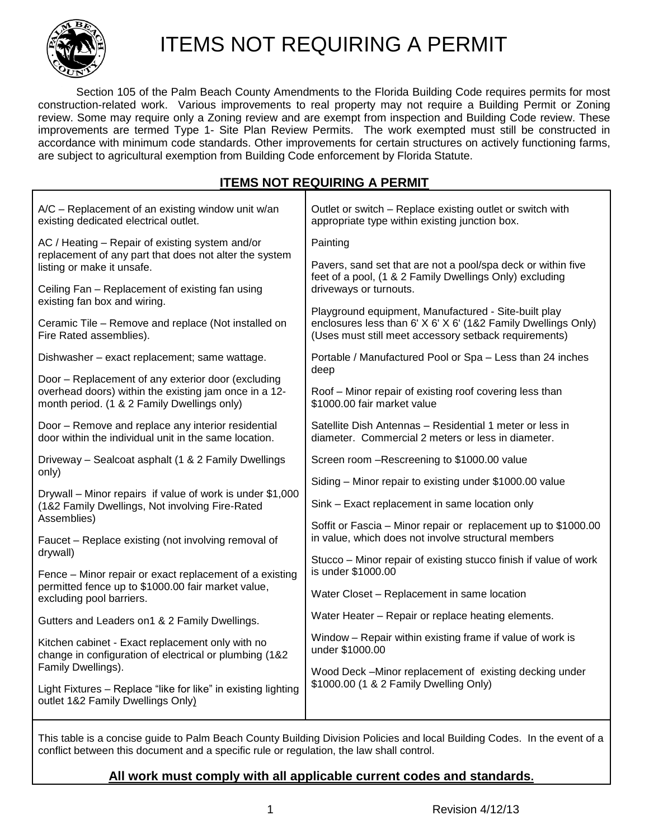

# ITEMS NOT REQUIRING A PERMIT

Section 105 of the Palm Beach County Amendments to the Florida Building Code requires permits for most construction-related work. Various improvements to real property may not require a Building Permit or Zoning review. Some may require only a Zoning review and are exempt from inspection and Building Code review. These improvements are termed Type 1- Site Plan Review Permits. The work exempted must still be constructed in accordance with minimum code standards. Other improvements for certain structures on actively functioning farms, are subject to agricultural exemption from Building Code enforcement by Florida Statute.

## **ITEMS NOT REQUIRING A PERMIT**

| A/C - Replacement of an existing window unit w/an<br>existing dedicated electrical outlet.                                                                 | Outlet or switch - Replace existing outlet or switch with<br>appropriate type within existing junction box.                                                                    |
|------------------------------------------------------------------------------------------------------------------------------------------------------------|--------------------------------------------------------------------------------------------------------------------------------------------------------------------------------|
| AC / Heating - Repair of existing system and/or<br>replacement of any part that does not alter the system<br>listing or make it unsafe.                    | Painting                                                                                                                                                                       |
|                                                                                                                                                            | Pavers, sand set that are not a pool/spa deck or within five<br>feet of a pool, (1 & 2 Family Dwellings Only) excluding                                                        |
| Ceiling Fan - Replacement of existing fan using<br>existing fan box and wiring.                                                                            | driveways or turnouts.                                                                                                                                                         |
| Ceramic Tile - Remove and replace (Not installed on<br>Fire Rated assemblies).                                                                             | Playground equipment, Manufactured - Site-built play<br>enclosures less than 6' X 6' X 6' (1&2 Family Dwellings Only)<br>(Uses must still meet accessory setback requirements) |
| Dishwasher - exact replacement; same wattage.                                                                                                              | Portable / Manufactured Pool or Spa - Less than 24 inches<br>deep                                                                                                              |
| Door - Replacement of any exterior door (excluding<br>overhead doors) within the existing jam once in a 12-<br>month period. (1 & 2 Family Dwellings only) | Roof - Minor repair of existing roof covering less than<br>\$1000.00 fair market value                                                                                         |
| Door – Remove and replace any interior residential<br>door within the individual unit in the same location.                                                | Satellite Dish Antennas - Residential 1 meter or less in<br>diameter. Commercial 2 meters or less in diameter.                                                                 |
| Driveway - Sealcoat asphalt (1 & 2 Family Dwellings<br>only)                                                                                               | Screen room -Rescreening to \$1000.00 value                                                                                                                                    |
|                                                                                                                                                            | Siding - Minor repair to existing under \$1000.00 value                                                                                                                        |
| Drywall – Minor repairs if value of work is under \$1,000<br>(1&2 Family Dwellings, Not involving Fire-Rated                                               | Sink - Exact replacement in same location only                                                                                                                                 |
| Assemblies)<br>Faucet - Replace existing (not involving removal of                                                                                         | Soffit or Fascia – Minor repair or replacement up to \$1000.00<br>in value, which does not involve structural members                                                          |
| drywall)                                                                                                                                                   | Stucco - Minor repair of existing stucco finish if value of work                                                                                                               |
| Fence - Minor repair or exact replacement of a existing<br>permitted fence up to \$1000.00 fair market value,<br>excluding pool barriers.                  | is under \$1000.00                                                                                                                                                             |
|                                                                                                                                                            | Water Closet - Replacement in same location                                                                                                                                    |
| Gutters and Leaders on1 & 2 Family Dwellings.                                                                                                              | Water Heater – Repair or replace heating elements.                                                                                                                             |
| Kitchen cabinet - Exact replacement only with no<br>change in configuration of electrical or plumbing (1&2                                                 | Window - Repair within existing frame if value of work is<br>under \$1000.00                                                                                                   |
| Family Dwellings).                                                                                                                                         | Wood Deck -Minor replacement of existing decking under<br>\$1000.00 (1 & 2 Family Dwelling Only)                                                                               |
| Light Fixtures - Replace "like for like" in existing lighting<br>outlet 1&2 Family Dwellings Only)                                                         |                                                                                                                                                                                |
|                                                                                                                                                            |                                                                                                                                                                                |

This table is a concise guide to Palm Beach County Building Division Policies and local Building Codes. In the event of a conflict between this document and a specific rule or regulation, the law shall control.

#### **All work must comply with all applicable current codes and standards.**